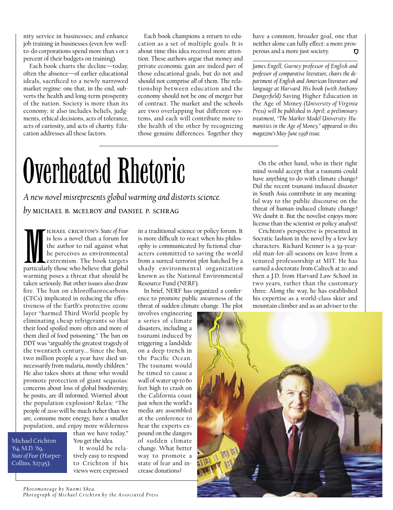nity service in businesses; and enhance job training in businesses (even few wellto-do corporations spend more than 1 or 2 percent of their budgets on training).

Each book charts the decline—today, often the absence—of earlier educational ideals, sacrificed to a newly narrowed market regime: one that, in the end, subverts the health and long-term prosperity of the nation. Society is more than its economy; it also includes beliefs, judgments, ethical decisions, acts of tolerance, acts of curiosity, and acts of charity. Education addresses all these factors.

Each book champions a return to education as a set of multiple goals. It is about time this idea received more attention. These authors argue that money and private economic gain are indeed *part* of those educational goals, but do not and should not comprise *all* of them. The relationship between education and the economy should not be one of merger but of contract. The market and the schools are two overlapping but different systems, and each will contribute more to the health of the other by recognizing those genuine differences. Together they

have a common, broader goal, one that neither alone can fully effect: a more prosperous and a more just society.

*James Engell, Gurney professor of English and professor of comparative literature, chairs the department of English and American literature and language at Harvard. His book (with Anthony Dangerfield)* Saving Higher Education in the Age of Money *(University of Virginia Press) will be published in April; a preliminary treatment, "The Market-Model University: Humanities in the Age of Money," appeared in this magazine's May-June 1998 issue.* 

# Overheated Rhetoric

*A new novel misrepresents global warming and distorts science. by* michael b. mcelroy *and* daniel p. schrag

**M**<br>particular<br>warming ichael crichton's *State of Fear* is less a novel than a forum for the author to rail against what he perceives as environmental extremism. The book targets particularly those who believe that global warming poses a threat that should be taken seriously. But other issues also draw fire. The ban on chlorofluorocarbons (CFCs) implicated in reducing the effectiveness of the Earth's protective ozone layer "harmed Third World people by eliminating cheap refrigerants so that their food spoiled more often and more of them died of food poisoning." The ban on DDT was "arguably the greatest tragedy of the twentieth century.… Since the ban, two million people a year have died unnecessarily from malaria, mostly children." He also takes shots at those who would promote protection of giant sequoias: concerns about loss of global biodiversity, he posits, are ill informed. Worried about the population explosion? Relax: "The people of 2100 will be much richer than we are, consume more energy, have a smaller population, and enjoy more wilderness

Michael Crichton '64, M.D. '69, *State of Fear* (Harper-Collins, \$27.95).

than we have today." You get the idea. It would be rela-

tively easy to respond to Crichton if his views were expressed

in a traditional science or policy forum. It is more difficult to react when his philosophy is communicated by fictional characters committed to saving the world from a surreal terrorist plot hatched by a shady environmental organization known as the National Environmental Resource Fund (NERF).

In brief, NERF has organized a conference to promote public awareness of the threat of sudden climate change. The plot

involves engineering a series of climate disasters, including a tsunami induced by triggering a landslide on a deep trench in the Pacific Ocean. The tsunami would be timed to cause a wall of water up to 60 feet high to crash on the California coast just when the world's media are assembled at the conference to hear the experts expound on the dangers of sudden climate change. What better way to promote a state of fear and increase donations?

On the other hand, who in their right mind would accept that a tsunami could have anything to do with climate change? Did the recent tsunami-induced disaster in South Asia contribute in any meaningful way to the public discourse on the threat of human-induced climate change? We doubt it. But the novelist enjoys more license than the scientist or policy analyst!

Crichton's perspective is presented in Socratic fashion in the novel by a few key characters. Richard Kenner is a 39-yearold man-for-all-seasons on leave from a tenured professorship at MIT. He has earned a doctorate from Caltech at 20 and then a J.D. from Harvard Law School in two years, rather than the customary three. Along the way, he has established his expertise as a world-class skier and mountain climber and as an adviser to the

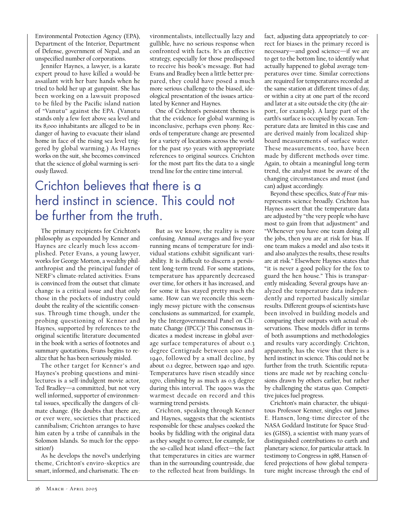Environmental Protection Agency (EPA), Department of the Interior, Department of Defense, government of Nepal, and an unspecified number of corporations.

Jennifer Haynes, a lawyer, is a karate expert proud to have killed a would-be assailant with her bare hands when he tried to hold her up at gunpoint. She has been working on a lawsuit proposed to be filed by the Pacific island nation of "Vanutu" against the EPA. (Vanutu stands only a few feet above sea level and its 8,000 inhabitants are alleged to be in danger of having to evacuate their island home in face of the rising sea level triggered by global warming.) As Haynes works on the suit, she becomes convinced that the science of global warming is seriously flawed.

vironmentalists, intellectually lazy and gullible, have no serious response when confronted with facts. It's an effective strategy, especially for those predisposed to receive his book's message. But had Evans and Bradley been a little better prepared, they could have posed a much more serious challenge to the biased, ideological presentation of the issues articulated by Kenner and Haynes.

One of Crichton's persistent themes is that the evidence for global warming is inconclusive, perhaps even phony. Records of temperature change are presented for a variety of locations across the world for the past 150 years with appropriate references to original sources. Crichton for the most part fits the data to a single trend line for the entire time interval.

## Crichton believes that there is a herd instinct in science. This could not be further from the truth.

The primary recipients for Crichton's philosophy as expounded by Kenner and Haynes are clearly much less accomplished. Peter Evans, a young lawyer, works for George Morton, a wealthy philanthropist and the principal funder of NERF's climate-related activities. Evans is convinced from the outset that climate change is a critical issue and that only those in the pockets of industry could doubt the reality of the scientific consensus. Through time though, under the probing questioning of Kenner and Haynes, supported by references to the original scientific literature documented in the book with a series of footnotes and summary quotations, Evans begins to realize that he has been seriously misled.

The other target for Kenner's and Haynes's probing questions and minilectures is a self-indulgent movie actor, Ted Bradley—a committed, but not very well informed, supporter of environmental issues, specifically the dangers of climate change. (He doubts that there are, or ever were, societies that practiced cannibalism; Crichton arranges to have him eaten by a tribe of cannibals in the Solomon Islands. So much for the opposition!)

As he develops the novel's underlying theme, Crichton's enviro-skeptics are smart, informed, and charismatic. The en-

But as we know, the reality is more confusing. Annual averages and five-year running means of temperature for individual stations exhibit significant variability. It is difficult to discern a persistent long-term trend. For some stations, temperature has apparently decreased over time, for others it has increased, and for some it has stayed pretty much the same. How can we reconcile this seemingly messy picture with the consensus conclusions as summarized, for example, by the Intergovernmental Panel on Climate Change (IPCC)? This consensus indicates a modest increase in global average surface temperatures of about 0.3 degree Centigrade between 1900 and 1940, followed by a small decline, by about 0.1 degree, between 1940 and 1970. Temperatures have risen steadily since 1970, climbing by as much as 0.5 degree during this interval. The 1990s was the warmest decade on record and this warming trend persists.

Crichton, speaking through Kenner and Haynes, suggests that the scientists responsible for these analyses cooked the books by fiddling with the original data as they sought to correct, for example, for the so-called heat island effect—the fact that temperatures in cities are warmer than in the surrounding countryside, due to the reflected heat from buildings. In

fact, adjusting data appropriately to correct for biases in the primary record is necessary—and good science—if we are to get to the bottom line, to identify what actually happened to global average temperatures over time. Similar corrections are required for temperatures recorded at the same station at different times of day, or within a city at one part of the record and later at a site outside the city (the airport, for example). A large part of the earth's surface is occupied by ocean. Temperature data are limited in this case and are derived mainly from localized shipboard measurements of surface water. These measurements, too, have been made by different methods over time. Again, to obtain a meaningful long-term trend, the analyst must be aware of the changing circumstances and must (and can) adjust accordingly.

Beyond these specifics, *State of Fear* misrepresents science broadly. Crichton has Haynes assert that the temperature data are adjusted by "the very people who have most to gain from that adjustment" and "Whenever you have one team doing all the jobs, then you are at risk for bias. If one team makes a model and also tests it and also analyzes the results, these results are at risk." Elsewhere Haynes states that "it is never a good policy for the fox to guard the hen house." This is transparently misleading. Several groups have analyzed the temperature data independently and reported basically similar results. Different groups of scientists have been involved in building models and comparing their outputs with actual observations. These models differ in terms of both assumptions and methodologies and results vary accordingly. Crichton, apparently, has the view that there is a herd instinct in science. This could not be further from the truth. Scientific reputations are made *not* by reaching conclusions drawn by others earlier, but rather by challenging the status quo. Competitive juices fuel progress.

Crichton's main character, the ubiquitous Professor Kenner, singles out James E. Hansen, long-time director of the NASA Goddard Institute for Space Studies (GISS), a scientist with many years of distinguished contributions to earth and planetary science, for particular attack. In testimony to Congress in 1988, Hansen offered projections of how global temperature might increase through the end of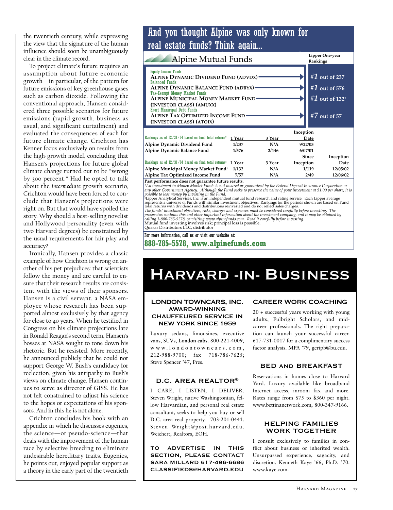the twentieth century, while expressing the view that the signature of the human influence should soon be unambiguously clear in the climate record.

To project climate's future requires an assumption about future economic growth-in particular, of the pattern for future emissions of key greenhouse gases such as carbon dioxide. Following the conventional approach, Hansen considered three possible scenarios for future emissions (rapid growth, business as usual, and significant curtailment) and evaluated the consequences of each for future climate change. Crichton has Kenner focus exclusively on results from the high-growth model, concluding that Hansen's projections for future global climate change turned out to be "wrong by 300 percent." Had he opted to talk about the intermediate growth scenario, Crichton would have been forced to conclude that Hansen's projections were right on. But that would have spoiled the story. Why should a best-selling novelist and Hollywood personality (even with two Harvard degrees) be constrained by the usual requirements for fair play and accuracy?

Ironically, Hansen provides a classic example of how Crichton is wrong on another of his pet prejudices: that scientists follow the money and are careful to ensure that their research results are consistent with the views of their sponsors. Hansen is a civil servant, a NASA employee whose research has been supported almost exclusively by that agency for close to 40 years. When he testified in Congress on his climate projections late in Ronald Reagan's second term, Hansen's bosses at NASA sought to tone down his rhetoric. But he resisted. More recently, he announced publicly that he could not support George W. Bush's candidacy for reelection, given his antipathy to Bush's views on climate change. Hansen continues to serve as director of GISS. He has not felt constrained to adjust his science to the hopes or expectations of his sponsors. And in this he is not alone.

Crichton concludes his book with an appendix in which he discusses eugenics, the science—or pseudo-science—that deals with the improvement of the human race by selective breeding to eliminate undesirable hereditary traits. Eugenics, he points out, enjoyed popular support as a theory in the early part of the twentieth

### And you thought Alpine was only known for real estate funds? Think again...

| Alpine Mutual Funds                                                                                                                                                                                                                                                                                                                                      |        |        |           | Lipper One-year<br>Rankings                                           |
|----------------------------------------------------------------------------------------------------------------------------------------------------------------------------------------------------------------------------------------------------------------------------------------------------------------------------------------------------------|--------|--------|-----------|-----------------------------------------------------------------------|
| <b>Equity Income Funds</b><br>ALPINE DYNAMIC DIVIDEND FUND (ADVDX)<br><b>Balanced Funds</b><br><b>ALPINE DYNAMIC BALANCE FUND (ADBYX)</b><br><b>Tax-Exempt Money Market Funds</b><br>ALPINE MUNICIPAL MONEY MARKET FUND<br>(INVESTOR CLASS) (AMUXX)<br><b>Short Municipal Debt Funds</b><br>ALPINE TAX OPTIMIZED INCOME FUND<br>(INVESTOR CLASS) (ATOIX) |        |        |           | #1 out of 237<br>#1 out of 576<br>#1 out of $132^+$<br>#7 out of $57$ |
|                                                                                                                                                                                                                                                                                                                                                          |        |        | Inception |                                                                       |
| Rankings as of $12/31/04$ based on fund total returns <sup>‡</sup>                                                                                                                                                                                                                                                                                       | 1 Year | 3 Year | Date      |                                                                       |
| Alpine Dynamic Dividend Fund                                                                                                                                                                                                                                                                                                                             | 1/237  | N/A    | 9/22/03   |                                                                       |
| Alpine Dynamic Balance Fund                                                                                                                                                                                                                                                                                                                              | 1/576  | 2/446  | 6/07/01   |                                                                       |
|                                                                                                                                                                                                                                                                                                                                                          |        |        | Since     | Inception                                                             |
| Rankings as of $12/31/04$ based on fund total returns <sup>‡</sup>                                                                                                                                                                                                                                                                                       | 1 Year | 3 Year | Inception | Date                                                                  |
| Alpine Municipal Money Market Fund <sup>+</sup>                                                                                                                                                                                                                                                                                                          | 1/132  | N/A    | 1/119     | 12/05/02                                                              |
| Alpine Tax Optimized Income Fund                                                                                                                                                                                                                                                                                                                         | 7/57   | N/A    | 2/49      | 12/06/02                                                              |

The Fax Optimized Higher Hurre Hutter Hutter (1797)<br>
Tax Cool (2742) 12/00/02<br>
Tax performance does not guaranteed by the Federal Deposit Insurance Corporation or<br>
any other Government Agency. Although the Fund seeks to pr

The funds' investment diverties and ustructuous tenvested and to to trenct sakes changes. The<br>The funds' investment objectives, risks, charges and expenses must be considered carefully before investing. The<br>prospectus cont

Quasar Distributors LLC, distributor

For more information, call us or visit our website at:

888-785-5578, www.alpinefunds.com

# **HARVARD -IN- BUSINESS**

#### **LONDON TOWNCARS, INC. AWARD-WINNING CHAUFFEURED SERVICE IN NEW YORK SINCE 1959**

Luxury sedans, limousines, executive vans, SUVs, London cabs. 800-221-4009, www.londontowncars.com, 212-988-9700; fax 718-786-7625; Steve Spencer '47, Pres.

#### D.C. AREA REALTOR<sup>®</sup>

I CARE, I LISTEN, I DELIVER. Steven Wright, native Washingtonian, fellow Harvardian, and personal real estate consultant, seeks to help you buy or sell D.C. area real property. 703-201-0441. Steven\_Wright@post.harvard.edu. Weichert, Realtors, EOH.

TO ADVERTISE IN THIS **SECTION, PLEASE CONTACT SARA MILLARD 617-496-6686 CLASSIFIEDS@HARVARD.EDU** 

#### **CAREER WORK COACHING**

20 + successful years working with young adults, Fulbright Scholars, and midcareer professionals. The right preparation can launch your successful career. 617-731-0017 for a complimentary success factor analysis. MPA '79, geripb@bu.edu.

#### **BED AND BREAKFAST**

Reservations in homes close to Harvard Yard. Luxury available like broadband Internet access, inroom fax and more. Rates range from \$75 to \$360 per night. www.bettinanetwork.com, 800-347-9166.

#### **HELPING FAMILIES WORK TOGETHER**

I consult exclusively to families in conflict about business or inherited wealth. Unsurpassed experience, sagacity, and discretion. Kenneth Kaye '66, Ph.D. '70. www.kaye.com.